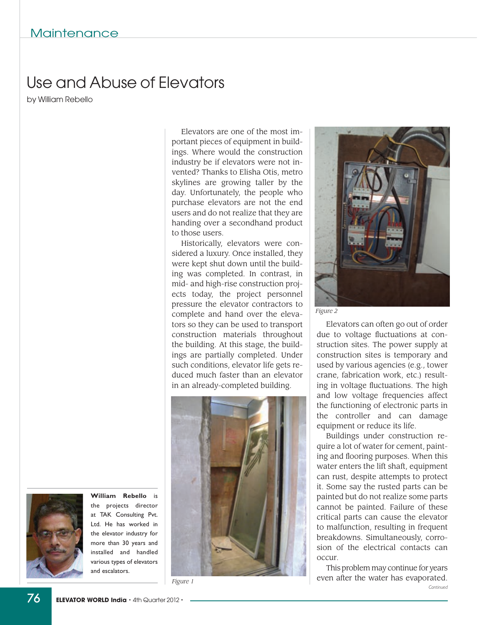## Use and Abuse of Elevators

by William Rebello

Elevators are one of the most important pieces of equipment in buildings. Where would the construction industry be if elevators were not invented? Thanks to Elisha Otis, metro skylines are growing taller by the day. Unfortunately, the people who purchase elevators are not the end users and do not realize that they are handing over a secondhand product to those users.

Historically, elevators were considered a luxury. Once installed, they were kept shut down until the building was completed. In contrast, in mid- and high-rise construction projects today, the project personnel pressure the elevator contractors to complete and hand over the elevators so they can be used to transport construction materials throughout the building. At this stage, the buildings are partially completed. Under such conditions, elevator life gets reduced much faster than an elevator in an already-completed building.



*Figure 1*



*Figure 2*

Elevators can often go out of order due to voltage fluctuations at construction sites. The power supply at construction sites is temporary and used by various agencies (e.g., tower crane, fabrication work, etc.) resulting in voltage fluctuations. The high and low voltage frequencies affect the functioning of electronic parts in the controller and can damage equipment or reduce its life.

Buildings under construction require a lot of water for cement, painting and flooring purposes. When this water enters the lift shaft, equipment can rust, despite attempts to protect it. Some say the rusted parts can be painted but do not realize some parts cannot be painted. Failure of these critical parts can cause the elevator to malfunction, resulting in frequent breakdowns. Simultaneously, corrosion of the electrical contacts can occur.

This problem may continue for years even after the water has evaporated. *Continued*



the projects director at TAK Consulting Pvt. Ltd. He has worked in the elevator industry for more than 30 years and installed and handled various types of elevators and escalators.

**William Rebello** is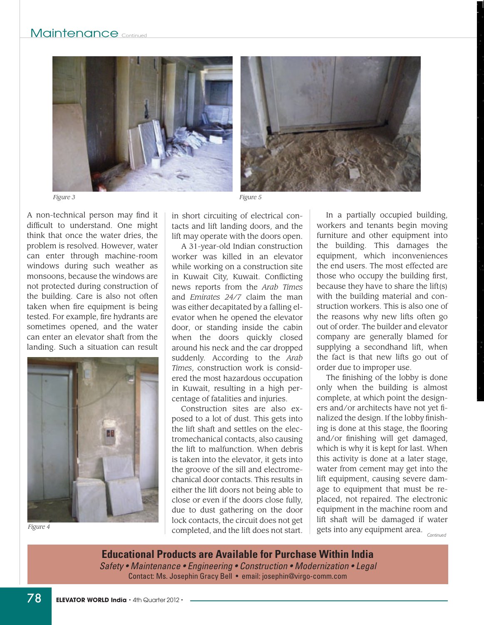



A non-technical person may find it difficult to understand. One might think that once the water dries, the problem is resolved. However, water can enter through machine-room windows during such weather as monsoons, because the windows are not protected during construction of the building. Care is also not often taken when fire equipment is being tested. For example, fire hydrants are sometimes opened, and the water can enter an elevator shaft from the landing. Such a situation can result



*Figure 4*

*Figure 5*

in short circuiting of electrical contacts and lift landing doors, and the lift may operate with the doors open.

A 31-year-old Indian construction worker was killed in an elevator while working on a construction site in Kuwait City, Kuwait. Conflicting news reports from the *Arab Times* and *Emirates 24/7* claim the man was either decapitated by a falling elevator when he opened the elevator door, or standing inside the cabin when the doors quickly closed around his neck and the car dropped suddenly. According to the *Arab Times*, construction work is considered the most hazardous occupation in Kuwait, resulting in a high percentage of fatalities and injuries.

Construction sites are also exposed to a lot of dust. This gets into the lift shaft and settles on the electromechanical contacts, also causing the lift to malfunction. When debris is taken into the elevator, it gets into the groove of the sill and electromechanical door contacts. This results in either the lift doors not being able to close or even if the doors close fully, due to dust gathering on the door lock contacts, the circuit does not get completed, and the lift does not start.

In a partially occupied building, workers and tenants begin moving furniture and other equipment into the building. This damages the equipment, which inconveniences the end users. The most effected are those who occupy the building first, because they have to share the lift(s) with the building material and construction workers. This is also one of the reasons why new lifts often go out of order. The builder and elevator company are generally blamed for supplying a secondhand lift, when the fact is that new lifts go out of order due to improper use.

The finishing of the lobby is done only when the building is almost complete, at which point the designers and/or architects have not yet finalized the design. If the lobby finishing is done at this stage, the flooring and/or finishing will get damaged, which is why it is kept for last. When this activity is done at a later stage, water from cement may get into the lift equipment, causing severe damage to equipment that must be replaced, not repaired. The electronic equipment in the machine room and lift shaft will be damaged if water gets into any equipment area. *Continued*

**Educational Products are Available for Purchase Within India** *Safety • Maintenance • Engineering • Construction • Modernization • Legal* Contact: Ms. Josephin Gracy Bell • email: josephin@virgo-comm.com